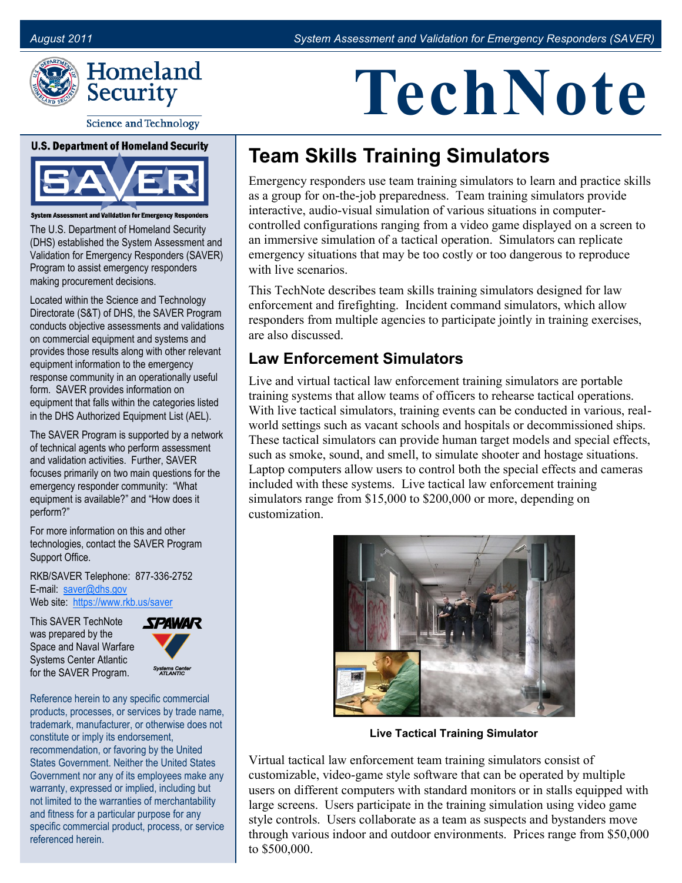

**Science and Technology** 

**U.S. Department of Homeland Security** 



**Institute Constructs**<br>Interface or Emergency Responsional Validation for Emergency Respo

The U.S. Department of Homeland Security (DHS) established the System Assessment and Validation for Emergency Responders (SAVER) Program to assist emergency responders making procurement decisions.

Located within the Science and Technology Directorate (S&T) of DHS, the SAVER Program conducts objective assessments and validations on commercial equipment and systems and provides those results along with other relevant equipment information to the emergency response community in an operationally useful form. SAVER provides information on equipment that falls within the categories listed in the DHS Authorized Equipment List (AEL).

The SAVER Program is supported by a network of technical agents who perform assessment and validation activities. Further, SAVER focuses primarily on two main questions for the emergency responder community: "What equipment is available?" and "How does it perform?"

For more information on this and other technologies, contact the SAVER Program Support Office.

RKB/SAVER Telephone: 877-336-2752 E-mail: [saver@dhs.gov](mailto:saver@dhs.gov) Web site: [https://www.rkb.us/saver](https://www.rkb.us/SAVER)

This SAVER TechNote was prepared by the Space and Naval Warfare Systems Center Atlantic for the SAVER Program.



Reference herein to any specific commercial products, processes, or services by trade name, trademark, manufacturer, or otherwise does not constitute or imply its endorsement, recommendation, or favoring by the United States Government. Neither the United States Government nor any of its employees make any warranty, expressed or implied, including but not limited to the warranties of merchantability and fitness for a particular purpose for any specific commercial product, process, or service referenced herein.

# **TechNote**

## **Team Skills Training Simulators**

Emergency responders use team training simulators to learn and practice skills as a group for on-the-job preparedness. Team training simulators provide interactive, audio-visual simulation of various situations in computercontrolled configurations ranging from a video game displayed on a screen to an immersive simulation of a tactical operation. Simulators can replicate emergency situations that may be too costly or too dangerous to reproduce with live scenarios.

This TechNote describes team skills training simulators designed for law enforcement and firefighting. Incident command simulators, which allow responders from multiple agencies to participate jointly in training exercises, are also discussed.

#### **Law Enforcement Simulators**

Live and virtual tactical law enforcement training simulators are portable training systems that allow teams of officers to rehearse tactical operations. With live tactical simulators, training events can be conducted in various, realworld settings such as vacant schools and hospitals or decommissioned ships. These tactical simulators can provide human target models and special effects, such as smoke, sound, and smell, to simulate shooter and hostage situations. Laptop computers allow users to control both the special effects and cameras included with these systems. Live tactical law enforcement training simulators range from \$15,000 to \$200,000 or more, depending on customization.



**Live Tactical Training Simulator** 

Virtual tactical law enforcement team training simulators consist of customizable, video-game style software that can be operated by multiple users on different computers with standard monitors or in stalls equipped with large screens. Users participate in the training simulation using video game style controls. Users collaborate as a team as suspects and bystanders move through various indoor and outdoor environments. Prices range from \$50,000 to \$500,000.